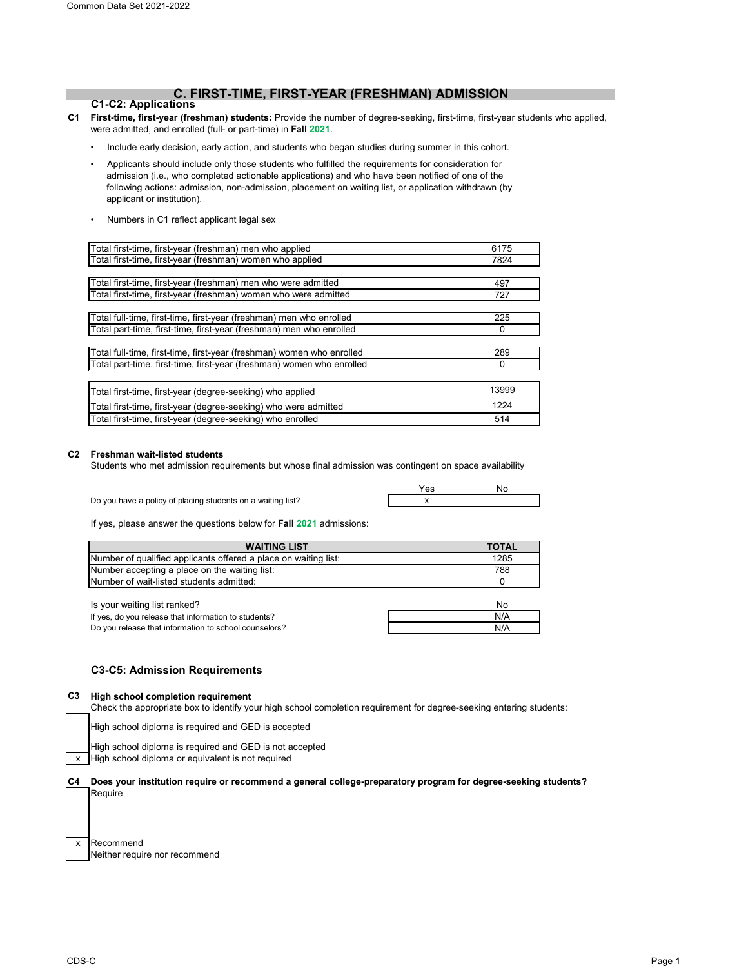# **C. FIRST-TIME, FIRST-YEAR (FRESHMAN) ADMISSION**

## **C1-C2: Applications**

- **C1 First-time, first-year (freshman) students:** Provide the number of degree-seeking, first-time, first-year students who applied, were admitted, and enrolled (full- or part-time) in **Fall 2021**.
	- Include early decision, early action, and students who began studies during summer in this cohort.
	- Applicants should include only those students who fulfilled the requirements for consideration for admission (i.e., who completed actionable applications) and who have been notified of one of the following actions: admission, non-admission, placement on waiting list, or application withdrawn (by applicant or institution).
	- Numbers in C1 reflect applicant legal sex

| Total first-time, first-year (freshman) men who applied               | 6175  |
|-----------------------------------------------------------------------|-------|
| Total first-time, first-year (freshman) women who applied             | 7824  |
|                                                                       |       |
| Total first-time, first-year (freshman) men who were admitted         | 497   |
| Total first-time, first-year (freshman) women who were admitted       | 727   |
|                                                                       |       |
| Total full-time, first-time, first-year (freshman) men who enrolled   | 225   |
| Total part-time, first-time, first-year (freshman) men who enrolled   | 0     |
|                                                                       |       |
| Total full-time, first-time, first-year (freshman) women who enrolled | 289   |
| Total part-time, first-time, first-year (freshman) women who enrolled | 0     |
|                                                                       |       |
| Total first-time, first-year (degree-seeking) who applied             | 13999 |
| Total first-time, first-year (degree-seeking) who were admitted       | 1224  |
| Total first-time, first-year (degree-seeking) who enrolled            | 514   |

## **C2 Freshman wait-listed students**

Students who met admission requirements but whose final admission was contingent on space availability

|                                                             | No |
|-------------------------------------------------------------|----|
| Do you have a policy of placing students on a waiting list? |    |

If yes, please answer the questions below for **Fall 2021** admissions:

| <b>WAITING LIST</b>                                             | <b>TOTAL</b> |
|-----------------------------------------------------------------|--------------|
| Number of qualified applicants offered a place on waiting list: | 1285         |
| Number accepting a place on the waiting list:                   | 788          |
| <b>INumber of wait-listed students admitted:</b>                |              |

| Is your waiting list ranked?                          | No  |
|-------------------------------------------------------|-----|
| If yes, do you release that information to students?  | N/A |
| Do you release that information to school counselors? | N/A |

## **C3-C5: Admission Requirements**

#### **C3 High school completion requirement**

Check the appropriate box to identify your high school completion requirement for degree-seeking entering students:

High school diploma is required and GED is accepted

High school diploma is required and GED is not accepted

High school diploma or equivalent is not required

**C4 Does your institution require or recommend a general college-preparatory program for degree-seeking students?** Require

| x Recommend                   |
|-------------------------------|
| Neither require nor recommend |

x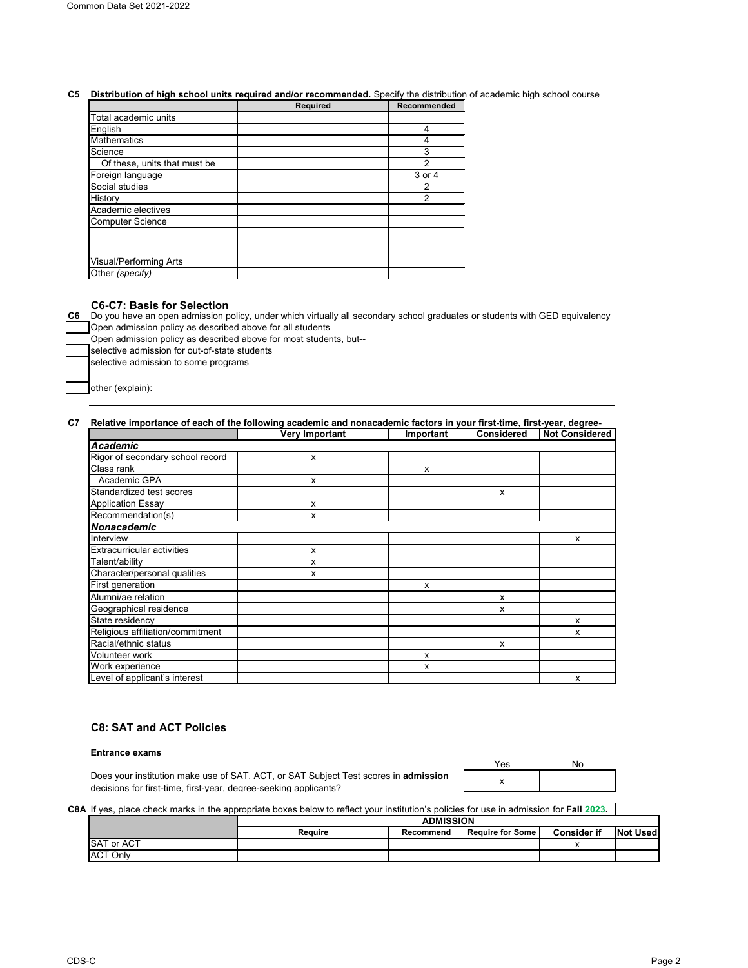## **C5 Distribution of high school units required and/or recommended.** Specify the distribution of academic high school course

|                               | <b>Required</b> | <b>Recommended</b> |
|-------------------------------|-----------------|--------------------|
| Total academic units          |                 |                    |
| English                       |                 | 4                  |
| <b>Mathematics</b>            |                 |                    |
| Science                       |                 | 3                  |
| Of these, units that must be  |                 | 2                  |
| Foreign language              |                 | 3 or 4             |
| Social studies                |                 | 2                  |
| History                       |                 | 2                  |
| Academic electives            |                 |                    |
| <b>Computer Science</b>       |                 |                    |
|                               |                 |                    |
|                               |                 |                    |
| <b>Visual/Performing Arts</b> |                 |                    |
| Other (specify)               |                 |                    |

### **C6-C7: Basis for Selection**

**C6** Do you have an open admission policy, under which virtually all secondary school graduates or students with GED equivalency Open admission policy as described above for all students

Open admission policy as described above for most students, but--

selective admission for out-of-state students selective admission to some programs

other (explain):

## **C7 Relative importance of each of the following academic and nonacademic factors in your first-time, first-year, degree-**

|                                   | <b>Very Important</b> | Important | <b>Considered</b>         | <b>Not Considered</b> |
|-----------------------------------|-----------------------|-----------|---------------------------|-----------------------|
| Academic                          |                       |           |                           |                       |
| Rigor of secondary school record  | x                     |           |                           |                       |
| <b>Class rank</b>                 |                       | X         |                           |                       |
| Academic GPA                      | x                     |           |                           |                       |
| Standardized test scores          |                       |           | $\boldsymbol{\mathsf{x}}$ |                       |
| Application Essay                 | x                     |           |                           |                       |
| Recommendation(s)                 | x                     |           |                           |                       |
| Nonacademic                       |                       |           |                           |                       |
| Interview                         |                       |           |                           | x                     |
| <b>Extracurricular activities</b> | x                     |           |                           |                       |
| Talent/ability                    | x                     |           |                           |                       |
| Character/personal qualities      | x                     |           |                           |                       |
| First generation                  |                       | X         |                           |                       |
| Alumni/ae relation                |                       |           | X                         |                       |
| Geographical residence            |                       |           | X                         |                       |
| State residency                   |                       |           |                           | X                     |
| Religious affiliation/commitment  |                       |           |                           | x                     |
| Racial/ethnic status              |                       |           | $\boldsymbol{\mathsf{x}}$ |                       |
| Volunteer work                    |                       | x         |                           |                       |
| Work experience                   |                       | X         |                           |                       |
| Level of applicant's interest     |                       |           |                           | x                     |

## **C8: SAT and ACT Policies**

#### **Entrance exams**

Does your institution make use of SAT, ACT, or SAT Subject Test scores in **admission**  decisions for first-time, first-year, degree-seeking applicants?

| Yes | No |
|-----|----|
|     |    |

#### **C8A** If yes, place check marks in the appropriate boxes below to reflect your institution's policies for use in admission for **Fall 2023.**

|                   | <b>ADMISSION</b> |           |                         |                    |          |
|-------------------|------------------|-----------|-------------------------|--------------------|----------|
|                   | <b>Require</b>   | Recommend | <b>Require for Some</b> | <b>Consider if</b> | Not Used |
| <b>SAT or ACT</b> |                  |           |                         |                    |          |
| <b>ACT Only</b>   |                  |           |                         |                    |          |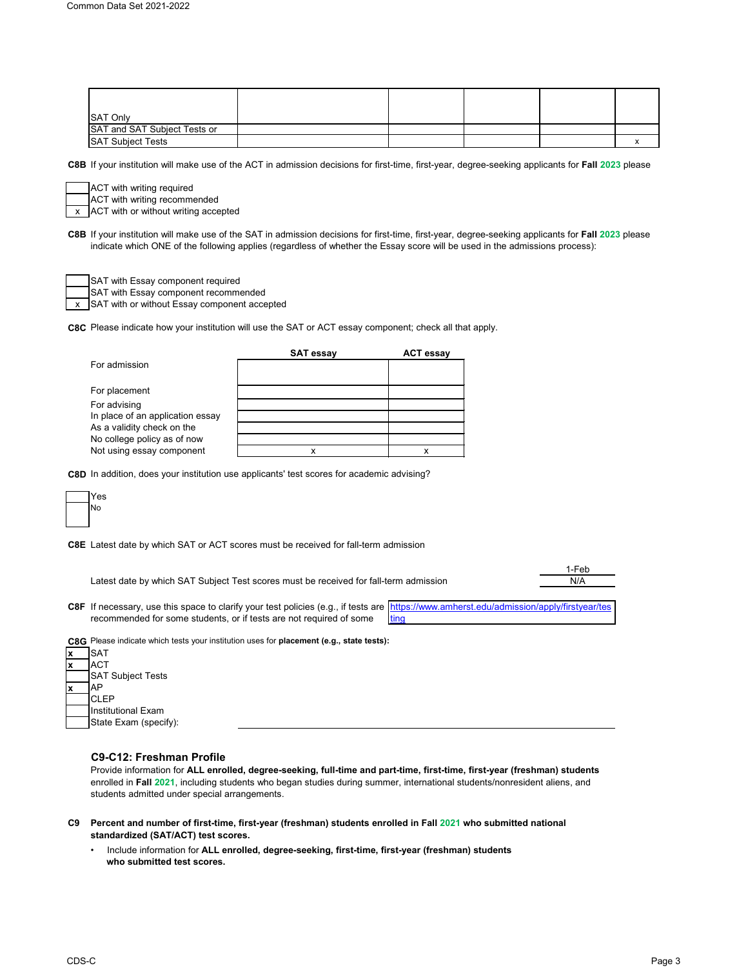| SAT Only                     |  |  |  |
|------------------------------|--|--|--|
| SAT and SAT Subject Tests or |  |  |  |
| <b>SAT Subject Tests</b>     |  |  |  |

**C8B** If your institution will make use of the ACT in admission decisions for first-time, first-year, degree-seeking applicants for **Fall 2023** please

ACT with writing required

x ACT with or without writing accepted ACT with writing recommended

**C8B** If your institution will make use of the SAT in admission decisions for first-time, first-year, degree-seeking applicants for **Fall 2023** please indicate which ONE of the following applies (regardless of whether the Essay score will be used in the admissions process):

SAT with Essay component required

SAT with Essay component recommended

x SAT with or without Essay component accepted

**C8C** Please indicate how your institution will use the SAT or ACT essay component; check all that apply.

|                                  | <b>SAT essay</b> | <b>ACT essay</b> |
|----------------------------------|------------------|------------------|
| For admission                    |                  |                  |
|                                  |                  |                  |
| For placement                    |                  |                  |
| For advising                     |                  |                  |
| In place of an application essay |                  |                  |
| As a validity check on the       |                  |                  |
| No college policy as of now      |                  |                  |
| Not using essay component        |                  |                  |

**C8D** In addition, does your institution use applicants' test scores for academic advising?



**C8E** Latest date by which SAT or ACT scores must be received for fall-term admission

Latest date by which SAT Subject Test scores must be received for fall-term admission

1-Feb N/A

**C8F** If necessary, use this space to clarify your test policies (e.g., if tests are [https://www.amher](https://www.amherst.edu/admission/apply/firstyear/testing)st.edu/admission/apply/firstyear/tes recommended for some students, or if tests are not required of some ing



**x** AP **CLEP** Institutional Exam State Exam (specify):

## **C9-C12: Freshman Profile**

Provide information for **ALL enrolled, degree-seeking, full-time and part-time, first-time, first-year (freshman) students**  enrolled in **Fall 2021**, including students who began studies during summer, international students/nonresident aliens, and students admitted under special arrangements.

- **C9 Percent and number of first-time, first-year (freshman) students enrolled in Fall 2021 who submitted national standardized (SAT/ACT) test scores.**
	- Include information for **ALL enrolled, degree-seeking, first-time, first-year (freshman) students who submitted test scores.**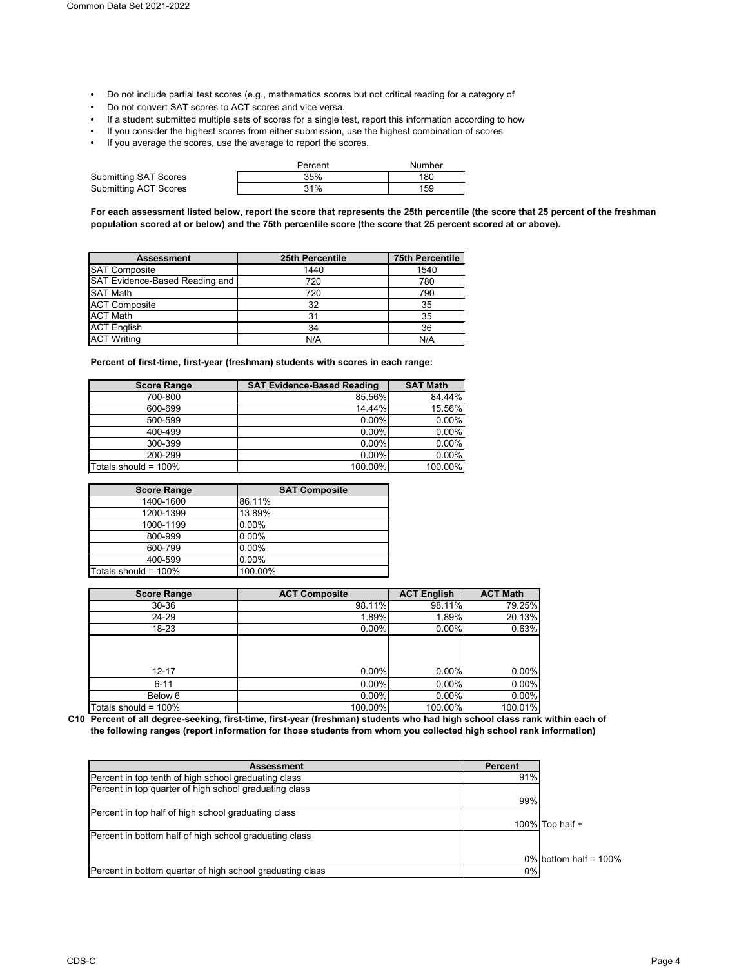- Do not include partial test scores (e.g., mathematics scores but not critical reading for a category of
- Do not convert SAT scores to ACT scores and vice versa.
- If a student submitted multiple sets of scores for a single test, report this information according to how
- If you consider the highest scores from either submission, use the highest combination of scores
- If you average the scores, use the average to report the scores.

|                       | Percent | Number |
|-----------------------|---------|--------|
| Submitting SAT Scores | 35%     | 180    |
| Submitting ACT Scores | 31%     | 159    |

**For each assessment listed below, report the score that represents the 25th percentile (the score that 25 percent of the freshman population scored at or below) and the 75th percentile score (the score that 25 percent scored at or above).**

| <b>Assessment</b>              | <b>25th Percentile</b> | <b>75th Percentile</b> |
|--------------------------------|------------------------|------------------------|
| <b>SAT Composite</b>           | 1440                   | 1540                   |
| SAT Evidence-Based Reading and | 720                    | 780                    |
| <b>SAT Math</b>                | 720                    | 790                    |
| <b>ACT Composite</b>           | 32                     | 35                     |
| <b>ACT Math</b>                | 31                     | 35                     |
| <b>ACT English</b>             | 34                     | 36                     |
| <b>ACT Writing</b>             | N/A                    | N/A                    |

**Percent of first-time, first-year (freshman) students with scores in each range:**

| <b>Score Range</b>      | <b>SAT Evidence-Based Reading</b> | <b>SAT Math</b> |
|-------------------------|-----------------------------------|-----------------|
| 700-800                 | 85.56%                            | 84.44%          |
| 600-699                 | 14.44%                            | 15.56%          |
| 500-599                 | 0.00%                             | 0.00%           |
| 400-499                 | 0.00%                             | 0.00%           |
| 300-399                 | 0.00%                             | 0.00%           |
| 200-299                 | 0.00%                             | 0.00%           |
| Totals should = $100\%$ | 100.00%                           | 100.00%         |

| <b>Score Range</b>      | <b>SAT Composite</b> |
|-------------------------|----------------------|
| 1400-1600               | 86.11%               |
| 1200-1399               | 13.89%               |
| 1000-1199               | 0.00%                |
| 800-999                 | 0.00%                |
| 600-799                 | $0.00\%$             |
| 400-599                 | 0.00%                |
| Totals should = $100\%$ | 100.00%              |

| <b>Score Range</b>   | <b>ACT Composite</b> | <b>ACT English</b> | <b>ACT Math</b> |
|----------------------|----------------------|--------------------|-----------------|
| $30 - 36$            | 98.11%               | 98.11%             | 79.25%          |
| 24-29                | 1.89%                | 1.89%              | 20.13%          |
| 18-23                | $0.00\%$             | $0.00\%$           | 0.63%           |
| $12 - 17$            | 0.00%                | $0.00\%$           | 0.00%           |
|                      |                      |                    |                 |
| $6 - 11$             | 0.00%                | 0.00%              | 0.00%           |
| Below 6              | $0.00\%$             | $0.00\%$           | 0.00%           |
| Totals should = 100% | 100.00%              | 100.00%            | 100.01%         |

**C10 Percent of all degree-seeking, first-time, first-year (freshman) students who had high school class rank within each of the following ranges (report information for those students from whom you collected high school rank information)**

| <b>Assessment</b>                                         | <b>Percent</b> |                          |
|-----------------------------------------------------------|----------------|--------------------------|
| Percent in top tenth of high school graduating class      | 91%            |                          |
| Percent in top quarter of high school graduating class    |                |                          |
|                                                           | 99%            |                          |
| Percent in top half of high school graduating class       |                |                          |
|                                                           |                | 100% Top half $+$        |
| Percent in bottom half of high school graduating class    |                |                          |
|                                                           |                |                          |
|                                                           |                | 0% bottom half = $100\%$ |
| Percent in bottom quarter of high school graduating class | 0%             |                          |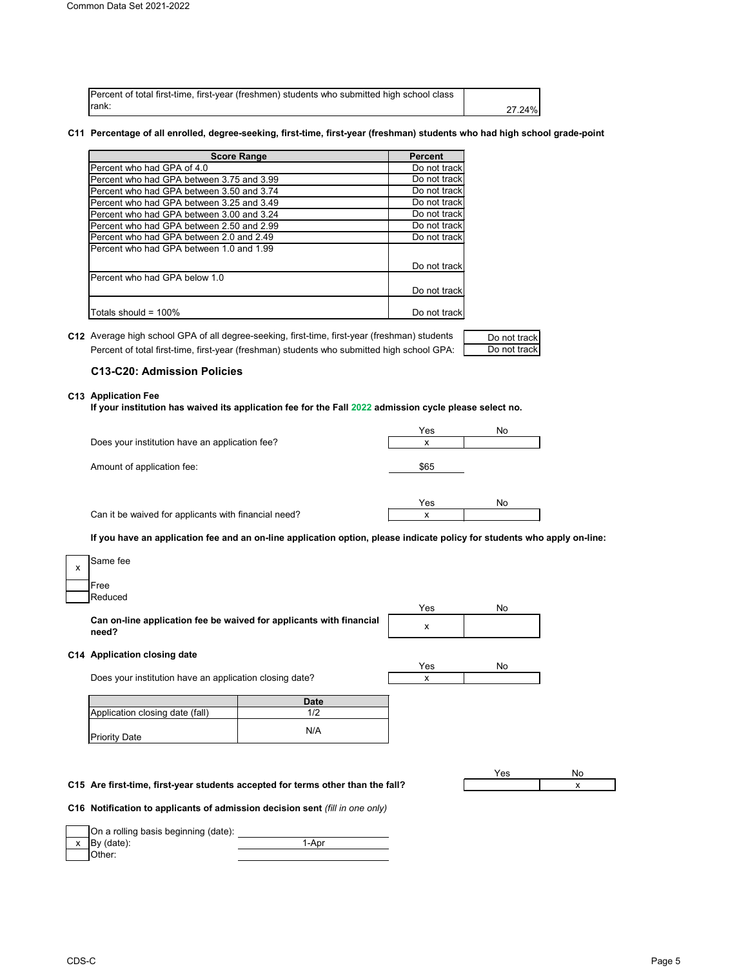| Percent of total first-time, first-year (freshmen) students who submitted high school class |        |
|---------------------------------------------------------------------------------------------|--------|
| lrank:                                                                                      | 27.24% |

#### **C11 Percentage of all enrolled, degree-seeking, first-time, first-year (freshman) students who had high school grade-point**

| <b>Score Range</b>                        | <b>Percent</b> |
|-------------------------------------------|----------------|
| Percent who had GPA of 4.0                | Do not track   |
| Percent who had GPA between 3.75 and 3.99 | Do not track   |
| Percent who had GPA between 3.50 and 3.74 | Do not track   |
| Percent who had GPA between 3.25 and 3.49 | Do not track   |
| Percent who had GPA between 3.00 and 3.24 | Do not track   |
| Percent who had GPA between 2.50 and 2.99 | Do not track   |
| Percent who had GPA between 2.0 and 2.49  | Do not track   |
| Percent who had GPA between 1.0 and 1.99  |                |
|                                           | Do not track   |
| Percent who had GPA below 1.0             |                |
|                                           | Do not track   |
| Totals should = 100%                      | Do not track   |

**C12** Average high school GPA of all degree-seeking, first-time, first-year (freshman) students \_\_\_\_\_\_Do not track Percent of total first-time, first-year (freshman) students who submitted high school GPA:

#### **C13-C20: Admission Policies**

#### **C13 Application Fee**

**If your institution has waived its application fee for the Fall 2022 admission cycle please select no.**

|                                                | Yes  | No |
|------------------------------------------------|------|----|
| Does your institution have an application fee? | x    |    |
|                                                |      |    |
| Amount of application fee:                     | \$65 |    |
|                                                |      |    |
|                                                |      |    |

Can it be waived for applicants with financial need?

| Yes | No |
|-----|----|
|     |    |

Do not track

**If you have an application fee and an on-line application option, please indicate policy for students who apply on-line:**

| x | Same fee |
|---|----------|
|   | Free     |
|   | Reduced  |

**Can on-line application fee be waived for applicants with financial need?**

## **C14 Application closing date**

| Yes | No |
|-----|----|

x

x

Yes No

**Date** Application closing date (fall) 1/2

| Application closing date (fall) |     |
|---------------------------------|-----|
| <b>Priority Date</b>            | N/A |

**C15** x **Are first-time, first-year students accepted for terms other than the fall?**

**C16 Notification to applicants of admission decision sent** *(fill in one only)*



Does your institution have an application closing date?

| CDS-C | Page 5 |
|-------|--------|
|-------|--------|